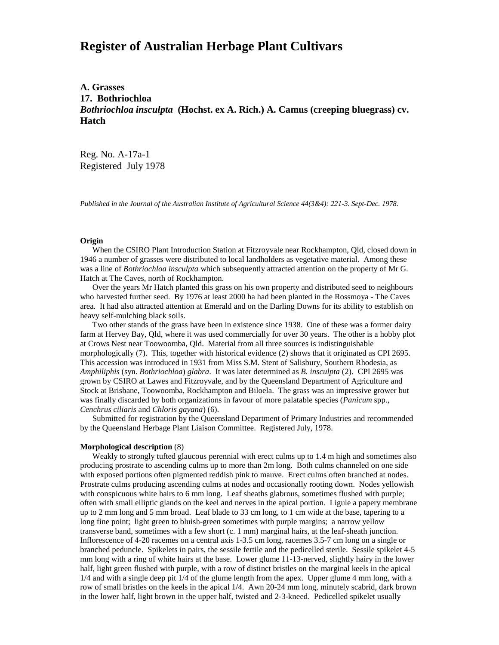# **Register of Australian Herbage Plant Cultivars**

**A. Grasses 17. Bothriochloa** *Bothriochloa insculpta* **(Hochst. ex A. Rich.) A. Camus (creeping bluegrass) cv. Hatch**

Reg. No. A-17a-1 Registered July 1978

*Published in the Journal of the Australian Institute of Agricultural Science 44(3&4): 221-3. Sept-Dec. 1978.*

#### **Origin**

 When the CSIRO Plant Introduction Station at Fitzroyvale near Rockhampton, Qld, closed down in 1946 a number of grasses were distributed to local landholders as vegetative material. Among these was a line of *Bothriochloa insculpta* which subsequently attracted attention on the property of Mr G. Hatch at The Caves, north of Rockhampton.

 Over the years Mr Hatch planted this grass on his own property and distributed seed to neighbours who harvested further seed. By 1976 at least 2000 ha had been planted in the Rossmoya - The Caves area. It had also attracted attention at Emerald and on the Darling Downs for its ability to establish on heavy self-mulching black soils.

 Two other stands of the grass have been in existence since 1938. One of these was a former dairy farm at Hervey Bay, Qld, where it was used commercially for over 30 years. The other is a hobby plot at Crows Nest near Toowoomba, Qld. Material from all three sources is indistinguishable morphologically (7). This, together with historical evidence (2) shows that it originated as CPI 2695. This accession was introduced in 1931 from Miss S.M. Stent of Salisbury, Southern Rhodesia, as *Amphiliphis* (syn. *Bothriochloa*) *glabra*. It was later determined as *B. insculpta* (2). CPI 2695 was grown by CSIRO at Lawes and Fitzroyvale, and by the Queensland Department of Agriculture and Stock at Brisbane, Toowoomba, Rockhampton and Biloela. The grass was an impressive grower but was finally discarded by both organizations in favour of more palatable species (*Panicum* spp., *Cenchrus ciliaris* and *Chloris gayana*) (6).

 Submitted for registration by the Queensland Department of Primary Industries and recommended by the Queensland Herbage Plant Liaison Committee. Registered July, 1978.

### **Morphological description** (8)

 Weakly to strongly tufted glaucous perennial with erect culms up to 1.4 m high and sometimes also producing prostrate to ascending culms up to more than 2m long. Both culms channeled on one side with exposed portions often pigmented reddish pink to mauve. Erect culms often branched at nodes. Prostrate culms producing ascending culms at nodes and occasionally rooting down. Nodes yellowish with conspicuous white hairs to 6 mm long. Leaf sheaths glabrous, sometimes flushed with purple; often with small elliptic glands on the keel and nerves in the apical portion. Ligule a papery membrane up to 2 mm long and 5 mm broad. Leaf blade to 33 cm long, to 1 cm wide at the base, tapering to a long fine point; light green to bluish-green sometimes with purple margins; a narrow yellow transverse band, sometimes with a few short (c. 1 mm) marginal hairs, at the leaf-sheath junction. Inflorescence of 4-20 racemes on a central axis 1-3.5 cm long, racemes 3.5-7 cm long on a single or branched peduncle. Spikelets in pairs, the sessile fertile and the pedicelled sterile. Sessile spikelet 4-5 mm long with a ring of white hairs at the base. Lower glume 11-13-nerved, slightly hairy in the lower half, light green flushed with purple, with a row of distinct bristles on the marginal keels in the apical 1/4 and with a single deep pit 1/4 of the glume length from the apex. Upper glume 4 mm long, with a row of small bristles on the keels in the apical 1/4. Awn 20-24 mm long, minutely scabrid, dark brown in the lower half, light brown in the upper half, twisted and 2-3-kneed. Pedicelled spikelet usually